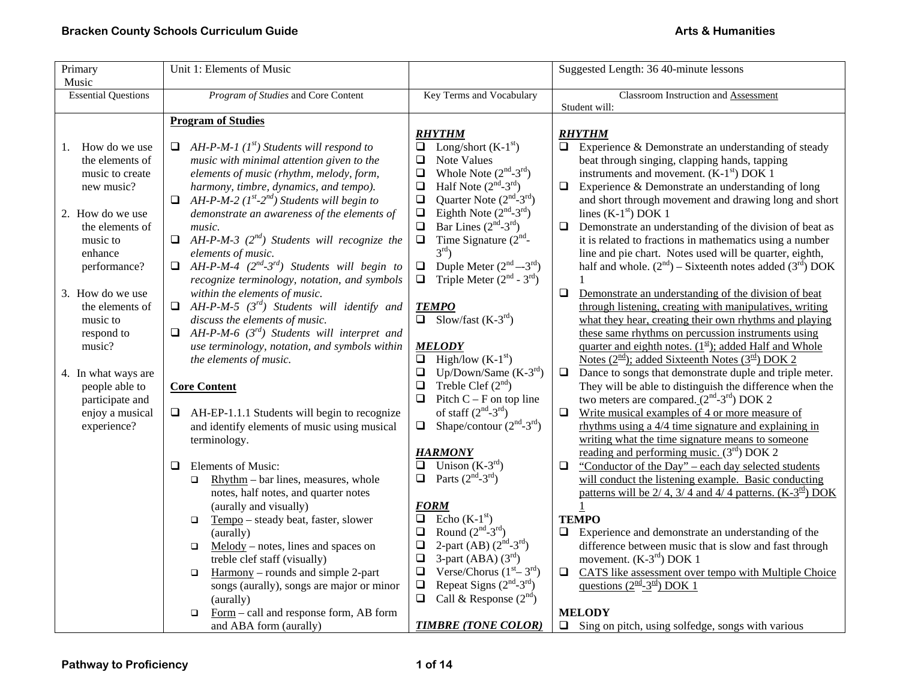| Primary                    | Unit 1: Elements of Music                                               |                                                          | Suggested Length: 36 40-minute lessons                                                         |
|----------------------------|-------------------------------------------------------------------------|----------------------------------------------------------|------------------------------------------------------------------------------------------------|
| Music                      |                                                                         |                                                          |                                                                                                |
| <b>Essential Questions</b> | Program of Studies and Core Content                                     | Key Terms and Vocabulary                                 | Classroom Instruction and Assessment                                                           |
|                            |                                                                         |                                                          | Student will:                                                                                  |
|                            | <b>Program of Studies</b>                                               |                                                          |                                                                                                |
|                            |                                                                         | <b>RHYTHM</b>                                            | <b>RHYTHM</b>                                                                                  |
| How do we use<br>1.        | AH-P-M-1 $(I^{st})$ Students will respond to                            | Long/short $(K-1st)$<br>$\Box$                           | $\Box$<br>Experience & Demonstrate an understanding of steady                                  |
| the elements of            | music with minimal attention given to the                               | Note Values<br>❏                                         | beat through singing, clapping hands, tapping                                                  |
| music to create            | elements of music (rhythm, melody, form,                                | Whole Note $(2nd-3rd)$<br>$\Box$                         | instruments and movement. $(K-1st)$ DOK 1                                                      |
| new music?                 | harmony, timbre, dynamics, and tempo).                                  | Half Note $(2^{nd} - 3^{rd})$<br>$\Box$                  | $\Box$<br>Experience & Demonstrate an understanding of long                                    |
|                            | AH-P-M-2 ( $I^{st}$ -2 <sup>nd</sup> ) Students will begin to<br>$\Box$ | Quarter Note $(2nd-3rd)$<br>$\Box$                       | and short through movement and drawing long and short                                          |
| 2. How do we use           | demonstrate an awareness of the elements of                             | Eighth Note $(2nd-3rd)$<br>$\Box$                        | lines $(K-1st)$ DOK 1                                                                          |
| the elements of            | music.                                                                  | Bar Lines $(2nd-3rd)$<br>$\Box$                          | Demonstrate an understanding of the division of beat as<br>$\Box$                              |
| music to                   | $\Box$ AH-P-M-3 (2 <sup>nd</sup> ) Students will recognize the          | Time Signature $(2nd$ -<br>$\Box$                        | it is related to fractions in mathematics using a number                                       |
| enhance                    | elements of music.                                                      | $3^{\text{rd}}$ )                                        | line and pie chart. Notes used will be quarter, eighth,                                        |
| performance?               | AH-P-M-4 $(2^{nd} - 3^{rd})$ Students will begin to<br>$\Box$           | Duple Meter $(2nd - 3rd)$<br>$\Box$                      | half and whole. $(2^{nd})$ – Sixteenth notes added $(3^{rd})$ DOK                              |
|                            | recognize terminology, notation, and symbols                            | Triple Meter $(2nd - 3rd)$<br>$\Box$                     |                                                                                                |
| 3. How do we use           | within the elements of music.                                           |                                                          | $\Box$<br>Demonstrate an understanding of the division of beat                                 |
| the elements of            | $\Box$ AH-P-M-5 (3 <sup>rd</sup> ) Students will identify and           | <b>TEMPO</b>                                             | through listening, creating with manipulatives, writing                                        |
| music to                   | discuss the elements of music.                                          | $\overline{\Box}$ Slow/fast (K-3 <sup>rd</sup> )         | what they hear, creating their own rhythms and playing                                         |
| respond to                 | $AH-P-M-6$ (3 $^{rd}$ ) Students will interpret and                     |                                                          | these same rhythms on percussion instruments using                                             |
| music?                     | use terminology, notation, and symbols within                           | <b>MELODY</b>                                            | quarter and eighth notes. $(1^{\underline{st}})$ ; added Half and Whole                        |
|                            | the elements of music.                                                  | High/low $(K-1st)$<br>$\Box$                             | <u>Notes (<math>2^{\frac{nd}{}}</math>);</u> added Sixteenth Notes ( $3^{\frac{rd}{}}$ ) DOK 2 |
| 4. In what ways are        |                                                                         | Up/Down/Same $(K-3rd)$<br>$\Box$                         | $\Box$<br>Dance to songs that demonstrate duple and triple meter.                              |
| people able to             | <b>Core Content</b>                                                     | Treble Clef $(2nd)$<br>❏                                 | They will be able to distinguish the difference when the                                       |
| participate and            |                                                                         | $\Box$<br>Pitch $C - F$ on top line                      | two meters are compared. $(2^{nd} - 3^{rd})$ DOK 2                                             |
| enjoy a musical            | $\Box$ AH-EP-1.1.1 Students will begin to recognize                     | of staff $(2nd-3rd)$                                     | $\Box$<br>Write musical examples of 4 or more measure of                                       |
| experience?                | and identify elements of music using musical                            | $\Box$ Shape/contour (2 <sup>nd</sup> -3 <sup>rd</sup> ) | rhythms using a $4/4$ time signature and explaining in                                         |
|                            | terminology.                                                            |                                                          | writing what the time signature means to someone                                               |
|                            |                                                                         | <b>HARMONY</b>                                           | reading and performing music. $(3rd)$ DOK 2                                                    |
|                            | Elements of Music:<br>□                                                 | Unison $(K-3rd)$<br>$\Box$                               | "Conductor of the Day" - each day selected students<br>$\Box$                                  |
|                            | Rhythm – bar lines, measures, whole<br>$\Box$                           | Parts $(2nd-3rd)$<br>$\Box$                              | will conduct the listening example. Basic conducting                                           |
|                            | notes, half notes, and quarter notes                                    |                                                          | patterns will be 2/4, 3/4 and 4/4 patterns. $(K-\frac{3^{rd}}{2})$ DOK                         |
|                            | (aurally and visually)                                                  | <b>FORM</b>                                              |                                                                                                |
|                            | Tempo - steady beat, faster, slower<br>$\Box$                           | Echo $(K-1st)$<br>$\Box$                                 | <b>TEMPO</b>                                                                                   |
|                            | (aurally)                                                               | Round $(2nd-3rd)$<br>$\Box$                              | Experience and demonstrate an understanding of the<br>$\Box$                                   |
|                            | $Melody - notes, lines and spaces on$<br>$\Box$                         | 2-part (AB) $(2nd-3rd)$<br>$\Box$                        | difference between music that is slow and fast through                                         |
|                            | treble clef staff (visually)                                            | 3-part (ABA) $(3rd)$<br>$\Box$                           | movement. $(K-3rd)$ DOK 1                                                                      |
|                            | $\frac{Harmony - rounds}{Harmony - rounds}$ and simple 2-part<br>$\Box$ | Verse/Chorus $(1st - 3rd)$<br>$\Box$                     | $\Box$<br>CATS like assessment over tempo with Multiple Choice                                 |
|                            | songs (aurally), songs are major or minor                               | Repeat Signs $(2nd-3rd)$<br>$\Box$                       | questions $(2nd - 3rd)$ DOK 1                                                                  |
|                            | (aurally)                                                               | $\Box$<br>Call & Response $(2^{nd})$                     |                                                                                                |
|                            | Form – call and response form, AB form<br>$\Box$                        |                                                          | <b>MELODY</b>                                                                                  |
|                            | and ABA form (aurally)                                                  | <b>TIMBRE (TONE COLOR)</b>                               | $\Box$ Sing on pitch, using solfedge, songs with various                                       |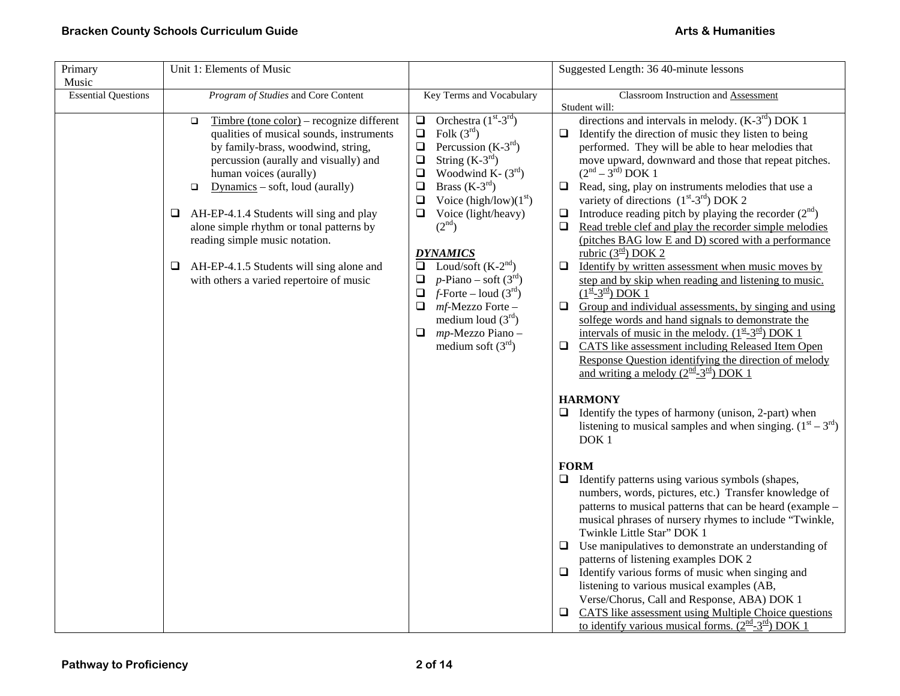| Primary<br>Music           | Unit 1: Elements of Music                                                                                                                                                                                                                                                                                                                                                                                                                                                             |                                                                                                                                                                                                                                                                                                                                                                                                                                                                                                                                       | Suggested Length: 36 40-minute lessons                                                                                                                                                                                                                                                                                                                                                                                                                                                                                                                                                                                                                                                                                                                                                                                                                                                                                                                                                                                                                                                                                                                                                                                                                                                                                                                                                                                                                                                                                                                                                                                                                                                                                                                                                                                                                                                                                                                                                                                                                                  |
|----------------------------|---------------------------------------------------------------------------------------------------------------------------------------------------------------------------------------------------------------------------------------------------------------------------------------------------------------------------------------------------------------------------------------------------------------------------------------------------------------------------------------|---------------------------------------------------------------------------------------------------------------------------------------------------------------------------------------------------------------------------------------------------------------------------------------------------------------------------------------------------------------------------------------------------------------------------------------------------------------------------------------------------------------------------------------|-------------------------------------------------------------------------------------------------------------------------------------------------------------------------------------------------------------------------------------------------------------------------------------------------------------------------------------------------------------------------------------------------------------------------------------------------------------------------------------------------------------------------------------------------------------------------------------------------------------------------------------------------------------------------------------------------------------------------------------------------------------------------------------------------------------------------------------------------------------------------------------------------------------------------------------------------------------------------------------------------------------------------------------------------------------------------------------------------------------------------------------------------------------------------------------------------------------------------------------------------------------------------------------------------------------------------------------------------------------------------------------------------------------------------------------------------------------------------------------------------------------------------------------------------------------------------------------------------------------------------------------------------------------------------------------------------------------------------------------------------------------------------------------------------------------------------------------------------------------------------------------------------------------------------------------------------------------------------------------------------------------------------------------------------------------------------|
| <b>Essential Questions</b> | Program of Studies and Core Content                                                                                                                                                                                                                                                                                                                                                                                                                                                   | Key Terms and Vocabulary                                                                                                                                                                                                                                                                                                                                                                                                                                                                                                              | <b>Classroom Instruction and Assessment</b><br>Student will:                                                                                                                                                                                                                                                                                                                                                                                                                                                                                                                                                                                                                                                                                                                                                                                                                                                                                                                                                                                                                                                                                                                                                                                                                                                                                                                                                                                                                                                                                                                                                                                                                                                                                                                                                                                                                                                                                                                                                                                                            |
|                            | $T$ imbre (tone color) – recognize different<br>$\Box$<br>qualities of musical sounds, instruments<br>by family-brass, woodwind, string,<br>percussion (aurally and visually) and<br>human voices (aurally)<br>$Dynamics - soft, loud (aurally)$<br>$\Box$<br>AH-EP-4.1.4 Students will sing and play<br>❏<br>alone simple rhythm or tonal patterns by<br>reading simple music notation.<br>AH-EP-4.1.5 Students will sing alone and<br>⊔<br>with others a varied repertoire of music | Orchestra $(1st-3rd)$<br>$\Box$<br>$\Box$<br>Folk $(3^{rd})$<br>Percussion $(K-3rd)$<br>$\Box$<br>String $(K-3^{rd})$<br>$\Box$<br>Woodwind K- $(3rd)$<br>$\Box$<br>Brass $(K-3rd)$<br>$\Box$<br>Voice (high/low) $(1st)$<br>$\Box$<br>$\Box$ Voice (light/heavy)<br>(2 <sup>nd</sup> )<br><b>DYNAMICS</b><br>Loud/soft $(K-2nd)$<br>$\Box$<br>$p$ -Piano – soft (3 <sup>rd</sup> )<br>$\Box$<br>$f$ -Forte – loud $(3rd)$<br>$\Box$<br>mf-Mezzo Forte -<br>0<br>medium loud $(3rd)$<br>mp-Mezzo Piano -<br>Q.<br>medium soft $(3rd)$ | directions and intervals in melody. $(K-3rd)$ DOK 1<br>$\Box$ Identify the direction of music they listen to being<br>performed. They will be able to hear melodies that<br>move upward, downward and those that repeat pitches.<br>$(2^{nd} – 3^{rd})$ DOK 1<br>$\Box$ Read, sing, play on instruments melodies that use a<br>variety of directions $(1st-3rd)$ DOK 2<br>Introduce reading pitch by playing the recorder $(2nd)$<br>u.<br>Read treble clef and play the recorder simple melodies<br>$\Box$<br>(pitches BAG low E and D) scored with a performance<br>rubric $(3rd)$ DOK 2<br>Identify by written assessment when music moves by<br>$\Box$<br>step and by skip when reading and listening to music.<br>$(1^{\underline{st}} - 3^{\underline{rd}})$ DOK 1<br>Group and individual assessments, by singing and using<br>u.<br>solfege words and hand signals to demonstrate the<br>intervals of music in the melody. $(1^{\underline{st}} - 3^{\underline{rd}})$ DOK 1<br>CATS like assessment including Released Item Open<br>$\Box$<br>Response Question identifying the direction of melody<br>and writing a melody $(2^{\underline{nd}}-3^{\underline{rd}})$ DOK 1<br><b>HARMONY</b><br>Identify the types of harmony (unison, 2-part) when<br>listening to musical samples and when singing. $(1st – 3rd)$<br>DOK <sub>1</sub><br><b>FORM</b><br>Identify patterns using various symbols (shapes,<br>$\Box$<br>numbers, words, pictures, etc.) Transfer knowledge of<br>patterns to musical patterns that can be heard (example –<br>musical phrases of nursery rhymes to include "Twinkle,<br>Twinkle Little Star" DOK 1<br>Use manipulatives to demonstrate an understanding of<br>$\Box$<br>patterns of listening examples DOK 2<br>Identify various forms of music when singing and<br>□<br>listening to various musical examples (AB,<br>Verse/Chorus, Call and Response, ABA) DOK 1<br>CATS like assessment using Multiple Choice questions<br>⊔<br><u>to identify various musical forms. <math>(2^{\text{nd}}-3^{\text{rd}})</math> DOK 1</u> |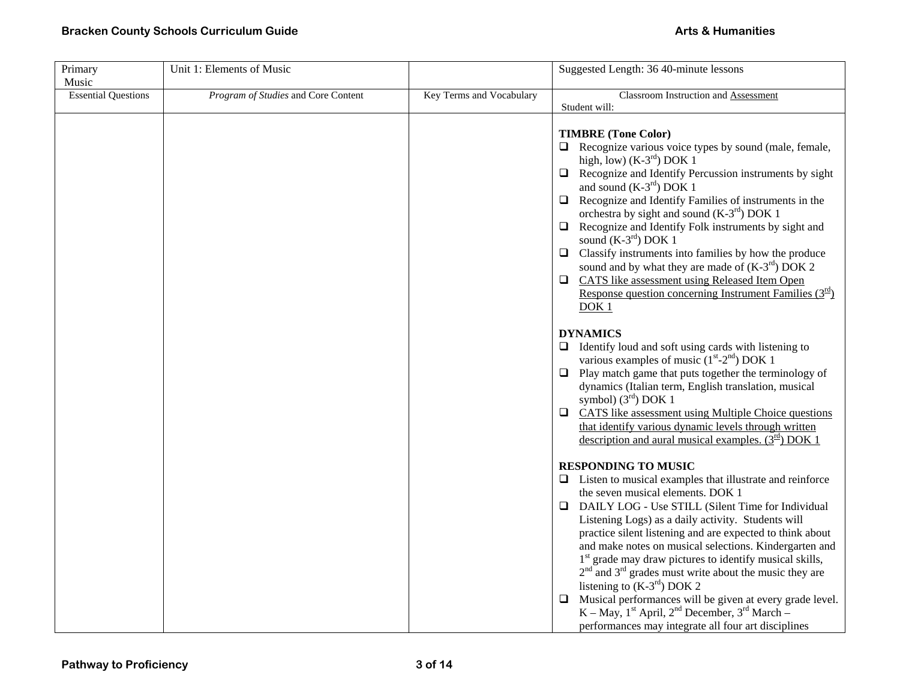| Primary                    | Unit 1: Elements of Music           |                          | Suggested Length: 36 40-minute lessons                                                                                                                                                                                                                                                                                                                                                                                                                                                                                                                                                                                                                                                                                    |
|----------------------------|-------------------------------------|--------------------------|---------------------------------------------------------------------------------------------------------------------------------------------------------------------------------------------------------------------------------------------------------------------------------------------------------------------------------------------------------------------------------------------------------------------------------------------------------------------------------------------------------------------------------------------------------------------------------------------------------------------------------------------------------------------------------------------------------------------------|
| Music                      |                                     |                          |                                                                                                                                                                                                                                                                                                                                                                                                                                                                                                                                                                                                                                                                                                                           |
| <b>Essential Questions</b> | Program of Studies and Core Content | Key Terms and Vocabulary | Classroom Instruction and Assessment<br>Student will:                                                                                                                                                                                                                                                                                                                                                                                                                                                                                                                                                                                                                                                                     |
|                            |                                     |                          | <b>TIMBRE</b> (Tone Color)<br>Recognize various voice types by sound (male, female,<br>high, low) $(K-3rd)$ DOK 1<br>Recognize and Identify Percussion instruments by sight<br>$\Box$<br>and sound $(K-3rd)$ DOK 1<br>Recognize and Identify Families of instruments in the<br>$\Box$<br>orchestra by sight and sound (K-3 <sup>rd</sup> ) DOK 1<br>$\Box$<br>Recognize and Identify Folk instruments by sight and<br>sound $(K-3rd)$ DOK 1<br>Classify instruments into families by how the produce<br>$\Box$<br>sound and by what they are made of $(K-3rd)$ DOK 2<br>CATS like assessment using Released Item Open<br>$\Box$<br>Response question concerning Instrument Families $(3^{\text{rd}})$<br>DOK <sub>1</sub> |
|                            |                                     |                          | <b>DYNAMICS</b><br>$\Box$ Identify loud and soft using cards with listening to<br>various examples of music $(1st-2nd)$ DOK 1<br>Play match game that puts together the terminology of<br>$\Box$<br>dynamics (Italian term, English translation, musical<br>symbol) $(3rd)$ DOK 1<br>$\Box$<br>CATS like assessment using Multiple Choice questions<br>that identify various dynamic levels through written<br>description and aural musical examples. $(3rd)$ DOK 1                                                                                                                                                                                                                                                      |
|                            |                                     |                          | <b>RESPONDING TO MUSIC</b><br>$\Box$ Listen to musical examples that illustrate and reinforce<br>the seven musical elements. DOK 1<br>DAILY LOG - Use STILL (Silent Time for Individual<br>Listening Logs) as a daily activity. Students will<br>practice silent listening and are expected to think about<br>and make notes on musical selections. Kindergarten and<br>1 <sup>st</sup> grade may draw pictures to identify musical skills,<br>$2nd$ and $3rd$ grades must write about the music they are<br>listening to $(K-3rd)$ DOK 2<br>$\Box$<br>Musical performances will be given at every grade level.                                                                                                           |
|                            |                                     |                          | K – May, 1 <sup>st</sup> April, 2 <sup>nd</sup> December, 3 <sup>rd</sup> March –<br>performances may integrate all four art disciplines                                                                                                                                                                                                                                                                                                                                                                                                                                                                                                                                                                                  |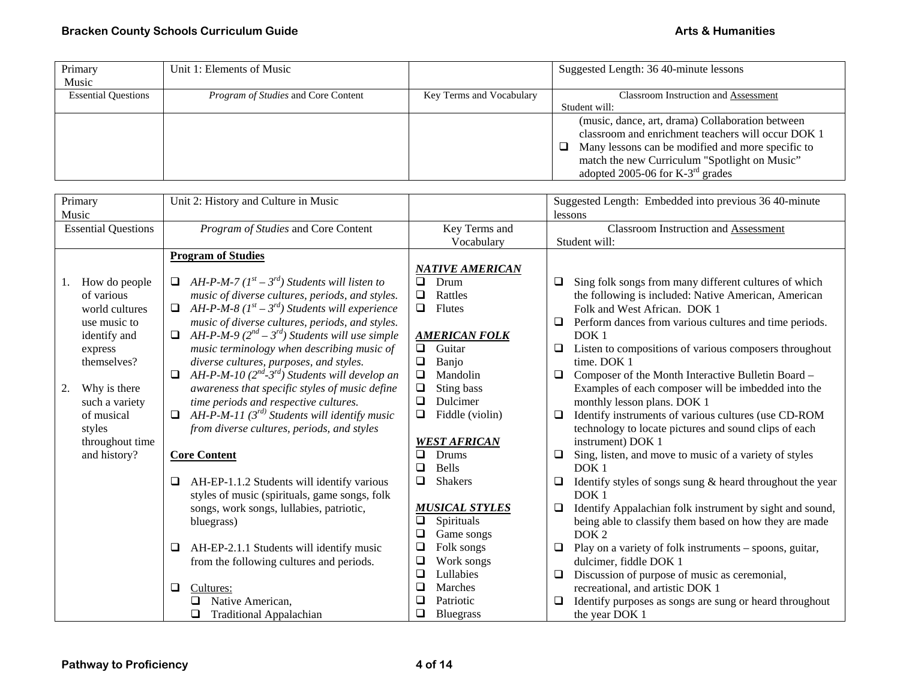| Primary                    | Unit 1: Elements of Music                  |                          | Suggested Length: 36 40-minute lessons                   |
|----------------------------|--------------------------------------------|--------------------------|----------------------------------------------------------|
| Music                      |                                            |                          |                                                          |
| <b>Essential Questions</b> | <i>Program of Studies</i> and Core Content | Key Terms and Vocabulary | <b>Classroom Instruction and Assessment</b>              |
|                            |                                            |                          | Student will:                                            |
|                            |                                            |                          | (music, dance, art, drama) Collaboration between         |
|                            |                                            |                          | classroom and enrichment teachers will occur DOK 1       |
|                            |                                            |                          | $\Box$ Many lessons can be modified and more specific to |
|                            |                                            |                          | match the new Curriculum "Spotlight on Music"            |
|                            |                                            |                          | adopted 2005-06 for $K-3^{rd}$ grades                    |

| Primary                    | Unit 2: History and Culture in Music                                          |                           | Suggested Length: Embedded into previous 36 40-minute            |
|----------------------------|-------------------------------------------------------------------------------|---------------------------|------------------------------------------------------------------|
| Music                      |                                                                               |                           | lessons                                                          |
| <b>Essential Questions</b> | Program of Studies and Core Content                                           | Key Terms and             | <b>Classroom Instruction and Assessment</b>                      |
|                            |                                                                               | Vocabulary                | Student will:                                                    |
|                            | <b>Program of Studies</b>                                                     |                           |                                                                  |
|                            |                                                                               | <b>NATIVE AMERICAN</b>    |                                                                  |
| How do people<br>1.        | $\Box$ AH-P-M-7 (1 <sup>st</sup> – 3 <sup>rd</sup> ) Students will listen to  | $\Box$<br>Drum            | Sing folk songs from many different cultures of which<br>❏       |
| of various                 | music of diverse cultures, periods, and styles.                               | $\Box$<br>Rattles         | the following is included: Native American, American             |
| world cultures             | $\Box$ AH-P-M-8 (1 <sup>st</sup> – 3 <sup>rd</sup> ) Students will experience | Flutes<br>$\Box$          | Folk and West African. DOK 1                                     |
| use music to               | music of diverse cultures, periods, and styles.                               |                           | Perform dances from various cultures and time periods.           |
| identify and               | $\Box$ AH-P-M-9 (2 <sup>nd</sup> – 3 <sup>rd</sup> ) Students will use simple | <b>AMERICAN FOLK</b>      | DOK <sub>1</sub>                                                 |
| express                    | music terminology when describing music of                                    | Guitar<br>$\Box$          | Listen to compositions of various composers throughout<br>⊔      |
| themselves?                | diverse cultures, purposes, and styles.                                       | $\Box$<br>Banjo           | time. DOK 1                                                      |
|                            | AH-P-M-10 $(2^{nd}$ -3 <sup>rd</sup> ) Students will develop an               | Mandolin<br>$\Box$        | Composer of the Month Interactive Bulletin Board -<br>❏          |
| Why is there<br>2.         | awareness that specific styles of music define                                | $\Box$<br>Sting bass      | Examples of each composer will be imbedded into the              |
| such a variety             | time periods and respective cultures.                                         | $\Box$<br>Dulcimer        | monthly lesson plans. DOK 1                                      |
| of musical                 | AH-P-M-11 ( $3^{rd}$ ) Students will identify music                           | Fiddle (violin)<br>$\Box$ | Identify instruments of various cultures (use CD-ROM<br>❏        |
| styles                     | from diverse cultures, periods, and styles                                    |                           | technology to locate pictures and sound clips of each            |
| throughout time            |                                                                               | <b>WEST AFRICAN</b>       | instrument) DOK 1                                                |
| and history?               | <b>Core Content</b>                                                           | $\Box$<br>Drums           | Sing, listen, and move to music of a variety of styles<br>$\Box$ |
|                            |                                                                               | <b>Bells</b><br>❏         | DOK <sub>1</sub>                                                 |
|                            | AH-EP-1.1.2 Students will identify various                                    | <b>Shakers</b><br>❏       | Identify styles of songs sung $\&$ heard throughout the year     |
|                            | styles of music (spirituals, game songs, folk                                 |                           | DOK <sub>1</sub>                                                 |
|                            | songs, work songs, lullabies, patriotic,                                      | <b>MUSICAL STYLES</b>     | Identify Appalachian folk instrument by sight and sound,         |
|                            | bluegrass)                                                                    | Spirituals<br>$\Box$      | being able to classify them based on how they are made           |
|                            |                                                                               | ❏<br>Game songs           | DOK <sub>2</sub>                                                 |
|                            | AH-EP-2.1.1 Students will identify music<br>□                                 | $\Box$<br>Folk songs      | Play on a variety of folk instruments - spoons, guitar,<br>□     |
|                            | from the following cultures and periods.                                      | ❏<br>Work songs           | dulcimer, fiddle DOK 1                                           |
|                            |                                                                               | ❏<br>Lullabies            | Discussion of purpose of music as ceremonial,                    |
|                            | Cultures:<br>$\Box$                                                           | ❏<br>Marches              | recreational, and artistic DOK 1                                 |
|                            | Native American,                                                              | ❏<br>Patriotic            | Identify purposes as songs are sung or heard throughout          |
|                            | <b>Traditional Appalachian</b>                                                | ❏<br>Bluegrass            | the year DOK 1                                                   |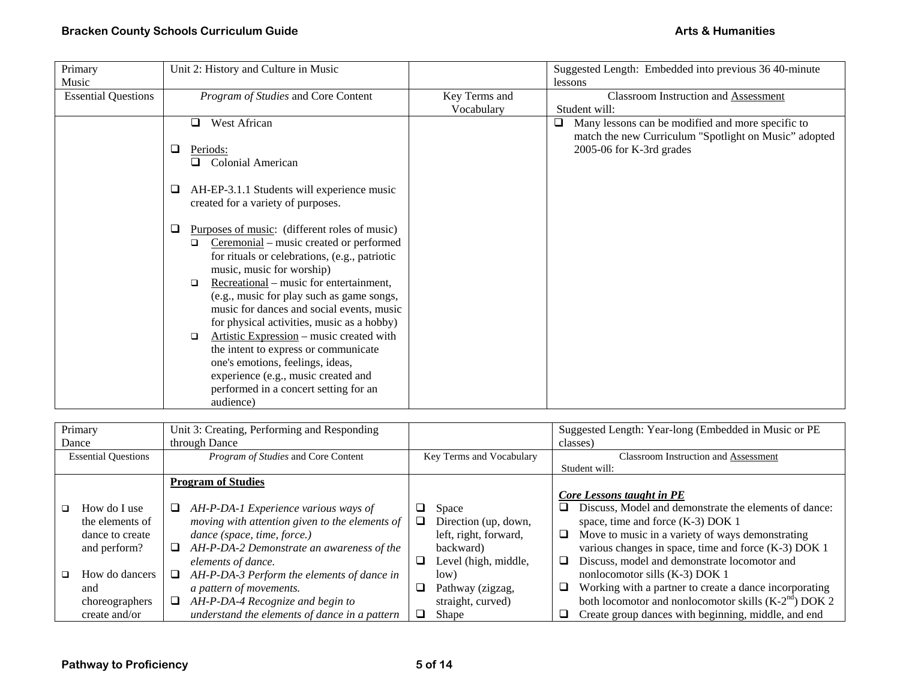| Primary                    | Unit 2: History and Culture in Music               |               | Suggested Length: Embedded into previous 36 40-minute  |
|----------------------------|----------------------------------------------------|---------------|--------------------------------------------------------|
| Music                      |                                                    |               | lessons                                                |
| <b>Essential Questions</b> | Program of Studies and Core Content                | Key Terms and | <b>Classroom Instruction and Assessment</b>            |
|                            |                                                    | Vocabulary    | Student will:                                          |
|                            | West African<br>$\Box$                             |               | Many lessons can be modified and more specific to<br>□ |
|                            |                                                    |               | match the new Curriculum "Spotlight on Music" adopted  |
|                            | $\Box$<br>Periods:                                 |               | 2005-06 for K-3rd grades                               |
|                            | <b>Colonial American</b>                           |               |                                                        |
|                            |                                                    |               |                                                        |
|                            | AH-EP-3.1.1 Students will experience music<br>❏    |               |                                                        |
|                            | created for a variety of purposes.                 |               |                                                        |
|                            | Purposes of music: (different roles of music)<br>⊔ |               |                                                        |
|                            | Ceremonial – music created or performed<br>$\Box$  |               |                                                        |
|                            | for rituals or celebrations, (e.g., patriotic      |               |                                                        |
|                            | music, music for worship)                          |               |                                                        |
|                            | Recreational – music for entertainment,<br>□       |               |                                                        |
|                            | (e.g., music for play such as game songs,          |               |                                                        |
|                            | music for dances and social events, music          |               |                                                        |
|                            | for physical activities, music as a hobby)         |               |                                                        |
|                            | Artistic Expression – music created with<br>$\Box$ |               |                                                        |
|                            | the intent to express or communicate               |               |                                                        |
|                            | one's emotions, feelings, ideas,                   |               |                                                        |
|                            | experience (e.g., music created and                |               |                                                        |
|                            | performed in a concert setting for an              |               |                                                        |
|                            | audience)                                          |               |                                                        |

| Primary                    |   | Unit 3: Creating, Performing and Responding    |   |                          |   | Suggested Length: Year-long (Embedded in Music or PE   |
|----------------------------|---|------------------------------------------------|---|--------------------------|---|--------------------------------------------------------|
| Dance                      |   | through Dance                                  |   |                          |   | classes)                                               |
| <b>Essential Questions</b> |   | Program of Studies and Core Content            |   | Key Terms and Vocabulary |   | <b>Classroom Instruction and Assessment</b>            |
|                            |   |                                                |   |                          |   | Student will:                                          |
|                            |   | <b>Program of Studies</b>                      |   |                          |   |                                                        |
|                            |   |                                                |   |                          |   | Core Lessons taught in PE                              |
| How do I use               |   | AH-P-DA-1 Experience various ways of           |   | Space                    |   | Discuss, Model and demonstrate the elements of dance:  |
| the elements of            |   | moving with attention given to the elements of | ⊔ | Direction (up, down,     |   | space, time and force (K-3) DOK 1                      |
| dance to create            |   | dance (space, time, force.)                    |   | left, right, forward,    | □ | Move to music in a variety of ways demonstrating       |
| and perform?               | ⊔ | AH-P-DA-2 Demonstrate an awareness of the      |   | backward)                |   | various changes in space, time and force (K-3) DOK 1   |
|                            |   | elements of dance.                             |   | Level (high, middle,     | □ | Discuss, model and demonstrate locomotor and           |
| How do dancers             | ⊔ | AH-P-DA-3 Perform the elements of dance in     |   | low)                     |   | nonlocomotor sills (K-3) DOK 1                         |
| and                        |   | a pattern of movements.                        |   | Pathway (zigzag,         | ❏ | Working with a partner to create a dance incorporating |
| choreographers             | ⊔ | AH-P-DA-4 Recognize and begin to               |   | straight, curved)        |   | both locomotor and nonlocomotor skills $(K-2nd)$ DOK 2 |
| create and/or              |   | understand the elements of dance in a pattern  |   | <b>Shape</b>             |   | Create group dances with beginning, middle, and end    |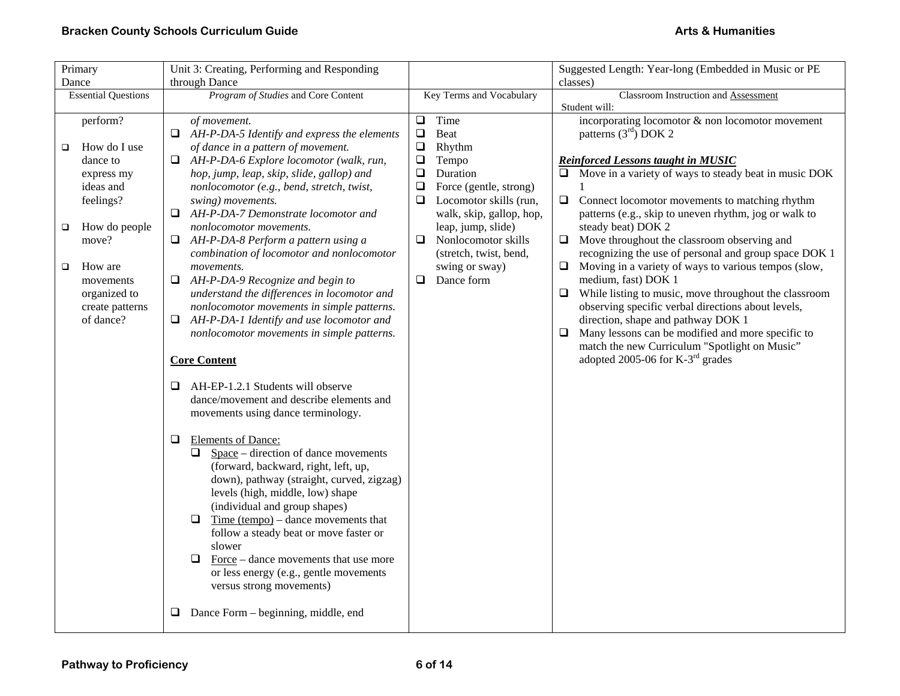| Primary                          | Unit 3: Creating, Performing and Responding                              |                                                     | Suggested Length: Year-long (Embedded in Music or PE                        |
|----------------------------------|--------------------------------------------------------------------------|-----------------------------------------------------|-----------------------------------------------------------------------------|
| Dance                            | through Dance                                                            |                                                     | classes)                                                                    |
| <b>Essential Questions</b>       | Program of Studies and Core Content                                      | Key Terms and Vocabulary                            | <b>Classroom Instruction and Assessment</b>                                 |
|                                  |                                                                          |                                                     | Student will:                                                               |
| perform?                         | of movement.                                                             | Time<br>$\Box$                                      | incorporating locomotor $\&$ non locomotor movement                         |
|                                  | $\Box$ AH-P-DA-5 Identify and express the elements                       | $\Box$<br>Beat                                      | patterns $(3rd)$ DOK 2                                                      |
| How do I use<br>□                | of dance in a pattern of movement.                                       | $\Box$<br>Rhythm                                    |                                                                             |
| dance to                         | AH-P-DA-6 Explore locomotor (walk, run,                                  | $\Box$<br>Tempo                                     | <b>Reinforced Lessons taught in MUSIC</b>                                   |
| express my                       | hop, jump, leap, skip, slide, gallop) and                                | $\Box$<br>Duration                                  | $\Box$ Move in a variety of ways to steady beat in music DOK                |
| ideas and                        | nonlocomotor (e.g., bend, stretch, twist,                                | ❏<br>Force (gentle, strong)                         |                                                                             |
| feelings?                        | swing) movements.                                                        | $\Box$<br>Locomotor skills (run,                    | $\Box$<br>Connect locomotor movements to matching rhythm                    |
|                                  | AH-P-DA-7 Demonstrate locomotor and<br>⊔                                 | walk, skip, gallop, hop,                            | patterns (e.g., skip to uneven rhythm, jog or walk to                       |
| How do people<br>$\Box$<br>move? | nonlocomotor movements.<br>$\Box$<br>AH-P-DA-8 Perform a pattern using a | leap, jump, slide)<br>$\Box$<br>Nonlocomotor skills | steady beat) DOK 2<br>Move throughout the classroom observing and<br>$\Box$ |
|                                  | combination of locomotor and nonlocomotor                                | (stretch, twist, bend,                              | recognizing the use of personal and group space DOK 1                       |
| How are<br>□                     | movements.                                                               | swing or sway)                                      | Moving in a variety of ways to various tempos (slow,<br>❏                   |
| movements                        | AH-P-DA-9 Recognize and begin to<br>$\Box$                               | $\Box$<br>Dance form                                | medium, fast) DOK 1                                                         |
| organized to                     | understand the differences in locomotor and                              |                                                     | While listing to music, move throughout the classroom<br>⊔                  |
| create patterns                  | nonlocomotor movements in simple patterns.                               |                                                     | observing specific verbal directions about levels,                          |
| of dance?                        | AH-P-DA-1 Identify and use locomotor and<br>❏                            |                                                     | direction, shape and pathway DOK 1                                          |
|                                  | nonlocomotor movements in simple patterns.                               |                                                     | Many lessons can be modified and more specific to<br>$\Box$                 |
|                                  |                                                                          |                                                     | match the new Curriculum "Spotlight on Music"                               |
|                                  | <b>Core Content</b>                                                      |                                                     | adopted 2005-06 for $K-3^{rd}$ grades                                       |
|                                  |                                                                          |                                                     |                                                                             |
|                                  | AH-EP-1.2.1 Students will observe<br>❏                                   |                                                     |                                                                             |
|                                  | dance/movement and describe elements and                                 |                                                     |                                                                             |
|                                  | movements using dance terminology.                                       |                                                     |                                                                             |
|                                  |                                                                          |                                                     |                                                                             |
|                                  | <b>Elements of Dance:</b><br>❏                                           |                                                     |                                                                             |
|                                  | $Space$ – direction of dance movements<br>$\Box$                         |                                                     |                                                                             |
|                                  | (forward, backward, right, left, up,                                     |                                                     |                                                                             |
|                                  | down), pathway (straight, curved, zigzag)                                |                                                     |                                                                             |
|                                  | levels (high, middle, low) shape                                         |                                                     |                                                                             |
|                                  | (individual and group shapes)                                            |                                                     |                                                                             |
|                                  | Time $tempo$ – dance movements that<br>$\Box$                            |                                                     |                                                                             |
|                                  | follow a steady beat or move faster or                                   |                                                     |                                                                             |
|                                  | slower<br>$\Box$<br>Force – dance movements that use more                |                                                     |                                                                             |
|                                  | or less energy (e.g., gentle movements                                   |                                                     |                                                                             |
|                                  | versus strong movements)                                                 |                                                     |                                                                             |
|                                  |                                                                          |                                                     |                                                                             |
|                                  | ❏<br>Dance Form – beginning, middle, end                                 |                                                     |                                                                             |
|                                  |                                                                          |                                                     |                                                                             |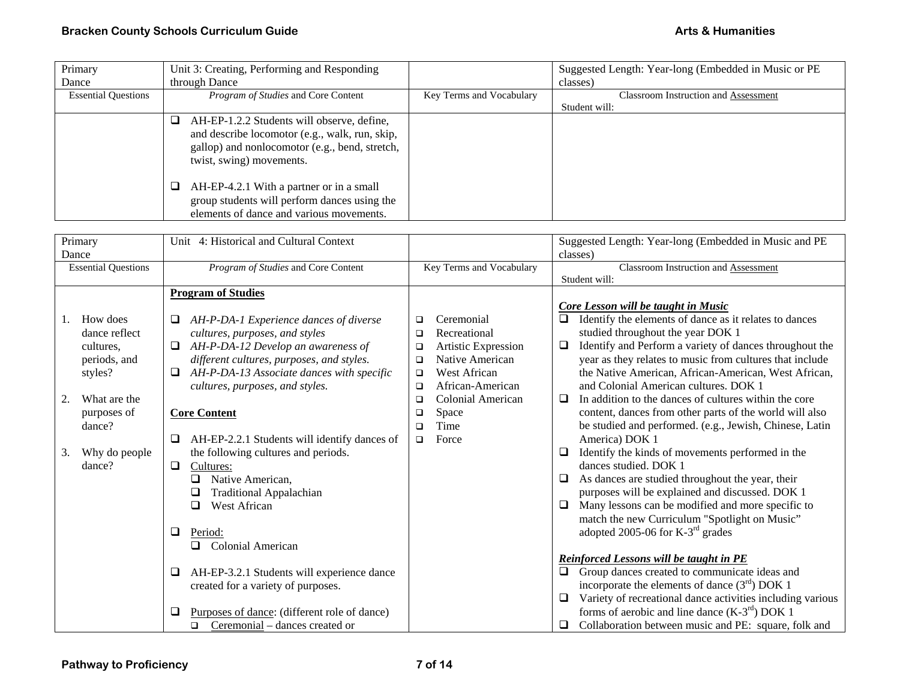| Primary                    | Unit 3: Creating, Performing and Responding                                                                                                                                     |                          | Suggested Length: Year-long (Embedded in Music or PE) |
|----------------------------|---------------------------------------------------------------------------------------------------------------------------------------------------------------------------------|--------------------------|-------------------------------------------------------|
| Dance                      | through Dance                                                                                                                                                                   |                          | classes)                                              |
| <b>Essential Questions</b> | <i>Program of Studies</i> and Core Content                                                                                                                                      | Key Terms and Vocabulary | <b>Classroom Instruction and Assessment</b>           |
|                            |                                                                                                                                                                                 |                          | Student will:                                         |
|                            | AH-EP-1.2.2 Students will observe, define,<br>❏<br>and describe locomotor (e.g., walk, run, skip,<br>gallop) and nonlocomotor (e.g., bend, stretch,<br>twist, swing) movements. |                          |                                                       |
|                            | AH-EP-4.2.1 With a partner or in a small<br>group students will perform dances using the<br>elements of dance and various movements.                                            |                          |                                                       |

| Primary                    | Unit 4: Historical and Cultural Context                |                               | Suggested Length: Year-long (Embedded in Music and PE            |
|----------------------------|--------------------------------------------------------|-------------------------------|------------------------------------------------------------------|
| Dance                      |                                                        |                               | classes)                                                         |
| <b>Essential Questions</b> | Program of Studies and Core Content                    | Key Terms and Vocabulary      | <b>Classroom Instruction and Assessment</b>                      |
|                            |                                                        |                               | Student will:                                                    |
|                            | <b>Program of Studies</b>                              |                               |                                                                  |
|                            |                                                        |                               | Core Lesson will be taught in Music                              |
| How does<br>1.             | AH-P-DA-1 Experience dances of diverse                 | Ceremonial<br>$\Box$          | Identify the elements of dance as it relates to dances<br>$\Box$ |
| dance reflect              | cultures, purposes, and styles                         | Recreational<br>$\Box$        | studied throughout the year DOK 1                                |
| cultures.                  | AH-P-DA-12 Develop an awareness of<br>$\Box$           | Artistic Expression<br>$\Box$ | Identify and Perform a variety of dances throughout the<br>⊔     |
| periods, and               | different cultures, purposes, and styles.              | Native American<br>$\Box$     | year as they relates to music from cultures that include         |
| styles?                    | AH-P-DA-13 Associate dances with specific<br>$\Box$    | West African<br>$\Box$        | the Native American, African-American, West African,             |
|                            | cultures, purposes, and styles.                        | African-American<br>$\Box$    | and Colonial American cultures. DOK 1                            |
| What are the<br>2.         |                                                        | Colonial American<br>$\Box$   | In addition to the dances of cultures within the core<br>□       |
| purposes of                | <b>Core Content</b>                                    | Space<br>$\Box$               | content, dances from other parts of the world will also          |
| dance?                     |                                                        | Time<br>$\Box$                | be studied and performed. (e.g., Jewish, Chinese, Latin          |
|                            |                                                        |                               |                                                                  |
|                            | AH-EP-2.2.1 Students will identify dances of<br>$\Box$ | Force<br>$\Box$               | America) DOK 1                                                   |
| Why do people<br>3.        | the following cultures and periods.                    |                               | Identify the kinds of movements performed in the<br>□            |
| dance?                     | $\Box$<br>Cultures:                                    |                               | dances studied. DOK 1                                            |
|                            | ❏<br>Native American,                                  |                               | As dances are studied throughout the year, their<br>⊔            |
|                            | <b>Traditional Appalachian</b><br>❏                    |                               | purposes will be explained and discussed. DOK 1                  |
|                            | $\Box$<br>West African                                 |                               | Many lessons can be modified and more specific to<br>❏           |
|                            |                                                        |                               | match the new Curriculum "Spotlight on Music"                    |
|                            | $\Box$<br>Period:                                      |                               | adopted 2005-06 for $K-3^{rd}$ grades                            |
|                            | Colonial American<br>□                                 |                               |                                                                  |
|                            |                                                        |                               | Reinforced Lessons will be taught in PE                          |
|                            | AH-EP-3.2.1 Students will experience dance<br>❏        |                               | Group dances created to communicate ideas and<br>$\Box$          |
|                            | created for a variety of purposes.                     |                               | incorporate the elements of dance $(3rd)$ DOK 1                  |
|                            |                                                        |                               | Variety of recreational dance activities including various<br>u  |
|                            | Purposes of dance: (different role of dance)<br>⊔      |                               | forms of aerobic and line dance $(K-3rd)$ DOK 1                  |
|                            | Ceremonial – dances created or<br>$\Box$               |                               | Collaboration between music and PE: square, folk and<br>u        |
|                            |                                                        |                               |                                                                  |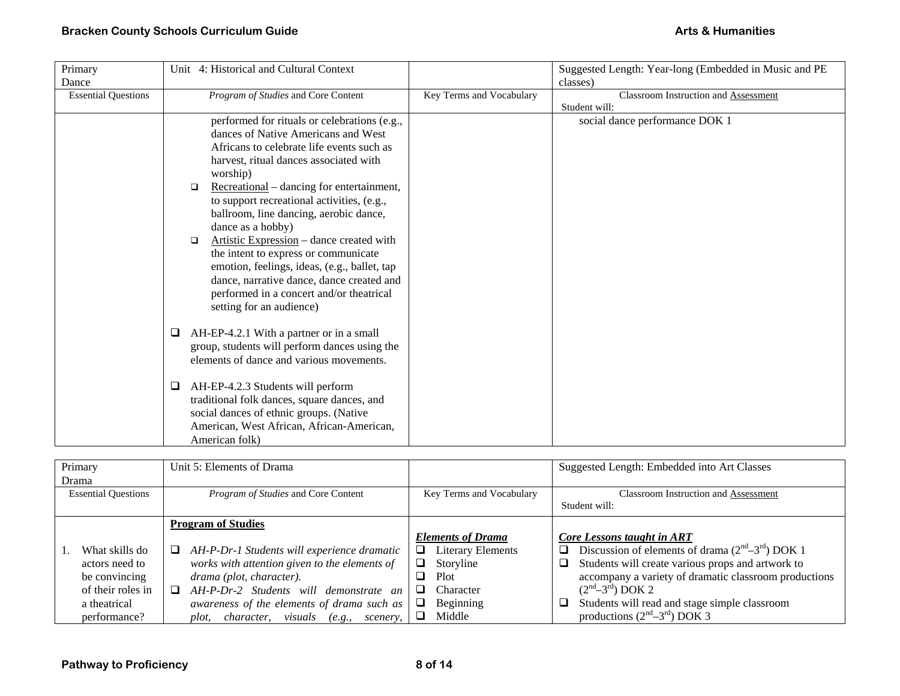| Primary                    | Unit 4: Historical and Cultural Context                                                   |                          | Suggested Length: Year-long (Embedded in Music and PE |
|----------------------------|-------------------------------------------------------------------------------------------|--------------------------|-------------------------------------------------------|
| Dance                      |                                                                                           |                          | classes)                                              |
| <b>Essential Questions</b> | Program of Studies and Core Content                                                       | Key Terms and Vocabulary | <b>Classroom Instruction and Assessment</b>           |
|                            |                                                                                           |                          | Student will:                                         |
|                            | performed for rituals or celebrations (e.g.,                                              |                          | social dance performance DOK 1                        |
|                            | dances of Native Americans and West                                                       |                          |                                                       |
|                            | Africans to celebrate life events such as                                                 |                          |                                                       |
|                            | harvest, ritual dances associated with                                                    |                          |                                                       |
|                            | worship)                                                                                  |                          |                                                       |
|                            | Recreational – dancing for entertainment,<br>$\Box$                                       |                          |                                                       |
|                            | to support recreational activities, (e.g.,                                                |                          |                                                       |
|                            | ballroom, line dancing, aerobic dance,                                                    |                          |                                                       |
|                            | dance as a hobby)                                                                         |                          |                                                       |
|                            | Artistic Expression - dance created with<br>$\Box$                                        |                          |                                                       |
|                            | the intent to express or communicate                                                      |                          |                                                       |
|                            | emotion, feelings, ideas, (e.g., ballet, tap                                              |                          |                                                       |
|                            | dance, narrative dance, dance created and                                                 |                          |                                                       |
|                            | performed in a concert and/or theatrical                                                  |                          |                                                       |
|                            | setting for an audience)                                                                  |                          |                                                       |
|                            |                                                                                           |                          |                                                       |
|                            | AH-EP-4.2.1 With a partner or in a small<br>□                                             |                          |                                                       |
|                            | group, students will perform dances using the<br>elements of dance and various movements. |                          |                                                       |
|                            |                                                                                           |                          |                                                       |
|                            | AH-EP-4.2.3 Students will perform<br>⊔                                                    |                          |                                                       |
|                            | traditional folk dances, square dances, and                                               |                          |                                                       |
|                            | social dances of ethnic groups. (Native                                                   |                          |                                                       |
|                            | American, West African, African-American,                                                 |                          |                                                       |
|                            | American folk)                                                                            |                          |                                                       |

| Primary                    | Unit 5: Elements of Drama                                        |                               | Suggested Length: Embedded into Art Classes                 |
|----------------------------|------------------------------------------------------------------|-------------------------------|-------------------------------------------------------------|
| Drama                      |                                                                  |                               |                                                             |
| <b>Essential Questions</b> | <i>Program of Studies</i> and Core Content                       | Key Terms and Vocabulary      | <b>Classroom Instruction and Assessment</b>                 |
|                            |                                                                  |                               | Student will:                                               |
|                            | <b>Program of Studies</b>                                        |                               |                                                             |
|                            |                                                                  | <b>Elements of Drama</b>      | Core Lessons taught in ART                                  |
| What skills do             | $\Box$ AH-P-Dr-1 Students will experience dramatic               | <b>Literary Elements</b><br>⊔ | Discussion of elements of drama $(2nd-3rd)$ DOK 1<br>$\Box$ |
| actors need to             | works with attention given to the elements of                    | Storyline                     | Students will create various props and artwork to<br>$\Box$ |
| be convincing              | drama (plot, character).                                         | Plot<br>⊔                     | accompany a variety of dramatic classroom productions       |
| of their roles in          | AH-P-Dr-2 Students will demonstrate an<br>$\Box$                 | Character                     | $(2nd-3rd)$ DOK 2                                           |
| a theatrical               | awareness of the elements of drama such as                       | Beginning<br>u                | Students will read and stage simple classroom<br>❏          |
| performance?               | visuals<br>character,<br>$(e.g., \quad \text{scenery},$<br>plot, | Middle<br>⊔                   | productions $(2nd-3rd)$ DOK 3                               |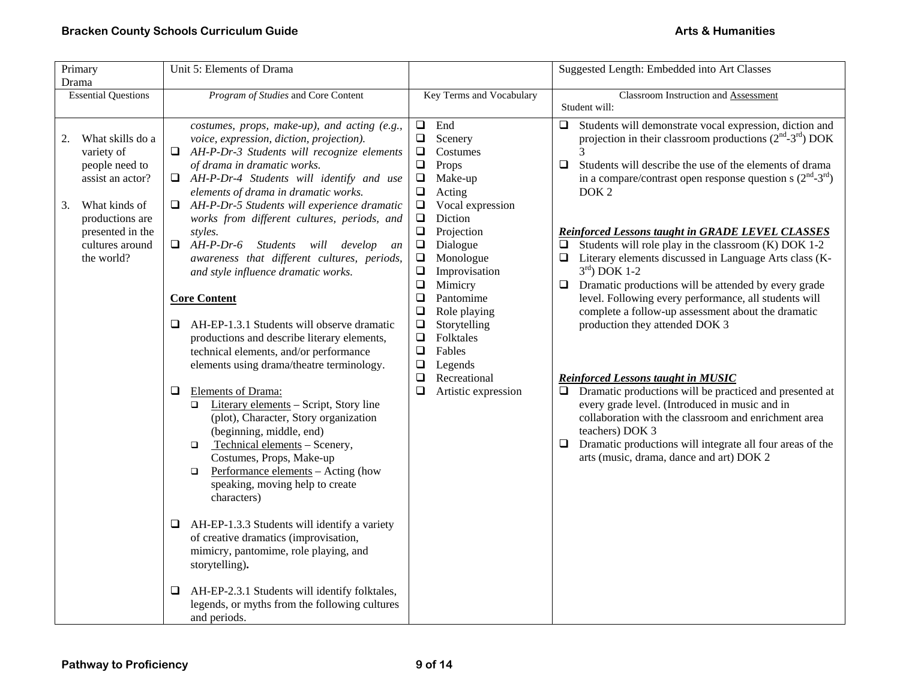| Primary<br>Drama                                                                                                                                                          | Unit 5: Elements of Drama                                                                                                                                                                                                                                                                                                                                                                                                                                                                                                                                                                                                                                                                                                                                                                                                                                                                                                                                                                                                                                                                                                                                                                                                                                                                                                                                |                                                                                                                                                                                                                                                                                                                                                                                                                                                                                                       | Suggested Length: Embedded into Art Classes                                                                                                                                                                                                                                                                                                                                                                                                                                                                                                                                                                                                                                                                                                                                                                                                                                                                                                                                                                                                                                       |
|---------------------------------------------------------------------------------------------------------------------------------------------------------------------------|----------------------------------------------------------------------------------------------------------------------------------------------------------------------------------------------------------------------------------------------------------------------------------------------------------------------------------------------------------------------------------------------------------------------------------------------------------------------------------------------------------------------------------------------------------------------------------------------------------------------------------------------------------------------------------------------------------------------------------------------------------------------------------------------------------------------------------------------------------------------------------------------------------------------------------------------------------------------------------------------------------------------------------------------------------------------------------------------------------------------------------------------------------------------------------------------------------------------------------------------------------------------------------------------------------------------------------------------------------|-------------------------------------------------------------------------------------------------------------------------------------------------------------------------------------------------------------------------------------------------------------------------------------------------------------------------------------------------------------------------------------------------------------------------------------------------------------------------------------------------------|-----------------------------------------------------------------------------------------------------------------------------------------------------------------------------------------------------------------------------------------------------------------------------------------------------------------------------------------------------------------------------------------------------------------------------------------------------------------------------------------------------------------------------------------------------------------------------------------------------------------------------------------------------------------------------------------------------------------------------------------------------------------------------------------------------------------------------------------------------------------------------------------------------------------------------------------------------------------------------------------------------------------------------------------------------------------------------------|
| <b>Essential Questions</b>                                                                                                                                                | Program of Studies and Core Content                                                                                                                                                                                                                                                                                                                                                                                                                                                                                                                                                                                                                                                                                                                                                                                                                                                                                                                                                                                                                                                                                                                                                                                                                                                                                                                      | Key Terms and Vocabulary                                                                                                                                                                                                                                                                                                                                                                                                                                                                              | Classroom Instruction and Assessment<br>Student will:                                                                                                                                                                                                                                                                                                                                                                                                                                                                                                                                                                                                                                                                                                                                                                                                                                                                                                                                                                                                                             |
| What skills do a<br>2.<br>variety of<br>people need to<br>assist an actor?<br>3.<br>What kinds of<br>productions are<br>presented in the<br>cultures around<br>the world? | costumes, props, make-up), and acting (e.g.,<br>voice, expression, diction, projection).<br>$\Box$ AH-P-Dr-3 Students will recognize elements<br>of drama in dramatic works.<br>$\Box$ AH-P-Dr-4 Students will identify and use<br>elements of drama in dramatic works.<br>AH-P-Dr-5 Students will experience dramatic<br>u.<br>works from different cultures, periods, and<br>styles.<br>$\Box$ AH-P-Dr-6 Students<br>will develop<br>an<br>awareness that different cultures, periods,<br>and style influence dramatic works.<br><b>Core Content</b><br>AH-EP-1.3.1 Students will observe dramatic<br>⊔<br>productions and describe literary elements,<br>technical elements, and/or performance<br>elements using drama/theatre terminology.<br>Elements of Drama:<br>⊔<br>Literary elements - Script, Story line<br>$\Box$<br>(plot), Character, Story organization<br>(beginning, middle, end)<br>Technical elements - Scenery,<br>O.<br>Costumes, Props, Make-up<br>Performance elements - Acting (how<br>$\Box$<br>speaking, moving help to create<br>characters)<br>AH-EP-1.3.3 Students will identify a variety<br>⊔<br>of creative dramatics (improvisation,<br>mimicry, pantomime, role playing, and<br>storytelling).<br>AH-EP-2.3.1 Students will identify folktales,<br>⊔<br>legends, or myths from the following cultures<br>and periods. | $\Box$<br>End<br>$\Box$<br>Scenery<br>Costumes<br>$\Box$<br>$\Box$<br>Props<br>$\Box$<br>Make-up<br>$\Box$<br>Acting<br>Vocal expression<br>$\Box$<br>$\Box$<br>Diction<br>$\Box$<br>Projection<br>$\Box$<br>Dialogue<br>Monologue<br>$\Box$<br>$\Box$<br>Improvisation<br>$\Box$<br>Mimicry<br>$\Box$<br>Pantomime<br>$\Box$<br>Role playing<br>$\Box$<br>Storytelling<br>$\Box$<br>Folktales<br>$\square$<br>Fables<br>$\Box$<br>Legends<br>$\Box$<br>Recreational<br>$\Box$<br>Artistic expression | Students will demonstrate vocal expression, diction and<br>⊔<br>projection in their classroom productions $(2nd-3rd)$ DOK<br>3<br>Students will describe the use of the elements of drama<br>0<br>in a compare/contrast open response question s $(2nd-3rd)$<br>DOK <sub>2</sub><br><b>Reinforced Lessons taught in GRADE LEVEL CLASSES</b><br>Students will role play in the classroom (K) DOK 1-2<br>$\Box$<br>$\Box$ Literary elements discussed in Language Arts class (K-<br>$3rd$ ) DOK 1-2<br>Dramatic productions will be attended by every grade<br>$\Box$<br>level. Following every performance, all students will<br>complete a follow-up assessment about the dramatic<br>production they attended DOK 3<br><b>Reinforced Lessons taught in MUSIC</b><br>Dramatic productions will be practiced and presented at<br>$\Box$<br>every grade level. (Introduced in music and in<br>collaboration with the classroom and enrichment area<br>teachers) DOK 3<br>Dramatic productions will integrate all four areas of the<br>□<br>arts (music, drama, dance and art) DOK 2 |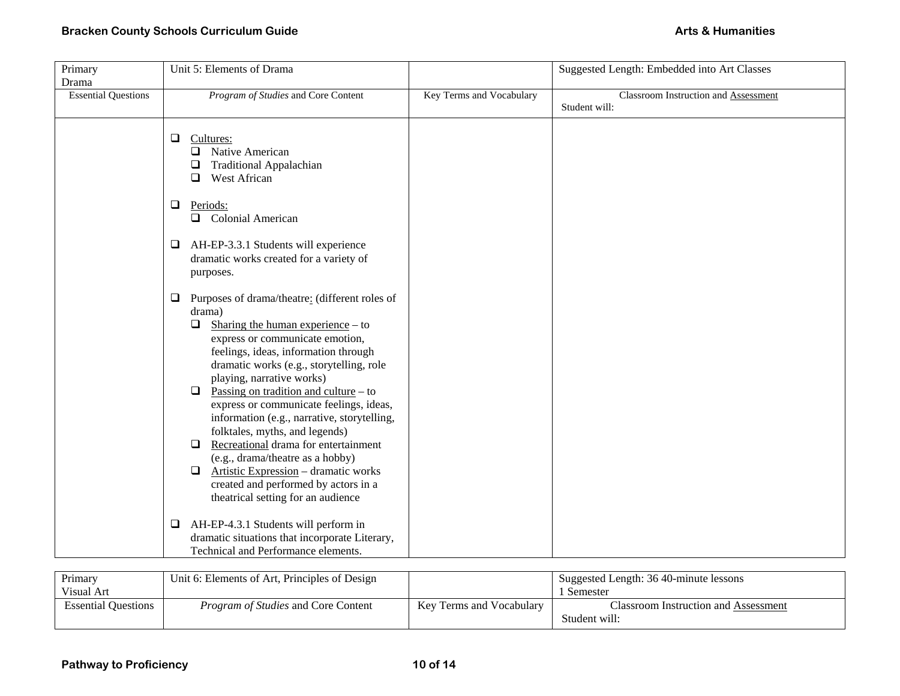| Primary                    | Unit 5: Elements of Drama                                                                                                                                                                                                                                                                                                                                                                                                                                                                                                                                                                                                                                                 |                          | Suggested Length: Embedded into Art Classes |
|----------------------------|---------------------------------------------------------------------------------------------------------------------------------------------------------------------------------------------------------------------------------------------------------------------------------------------------------------------------------------------------------------------------------------------------------------------------------------------------------------------------------------------------------------------------------------------------------------------------------------------------------------------------------------------------------------------------|--------------------------|---------------------------------------------|
| Drama                      |                                                                                                                                                                                                                                                                                                                                                                                                                                                                                                                                                                                                                                                                           |                          |                                             |
| <b>Essential Questions</b> | Program of Studies and Core Content                                                                                                                                                                                                                                                                                                                                                                                                                                                                                                                                                                                                                                       | Key Terms and Vocabulary | Classroom Instruction and Assessment        |
|                            |                                                                                                                                                                                                                                                                                                                                                                                                                                                                                                                                                                                                                                                                           |                          | Student will:                               |
|                            | $\Box$<br>Cultures:<br>$\Box$ Native American<br><b>Traditional Appalachian</b><br>$\Box$<br>West African<br>$\Box$                                                                                                                                                                                                                                                                                                                                                                                                                                                                                                                                                       |                          |                                             |
|                            | $\Box$<br>Periods:<br><b>Q</b> Colonial American                                                                                                                                                                                                                                                                                                                                                                                                                                                                                                                                                                                                                          |                          |                                             |
|                            | $\Box$<br>AH-EP-3.3.1 Students will experience<br>dramatic works created for a variety of<br>purposes.                                                                                                                                                                                                                                                                                                                                                                                                                                                                                                                                                                    |                          |                                             |
|                            | Purposes of drama/theatre: (different roles of<br>❏<br>drama)<br>Sharing the human experience $-$ to<br>$\Box$<br>express or communicate emotion,<br>feelings, ideas, information through<br>dramatic works (e.g., storytelling, role<br>playing, narrative works)<br>Passing on tradition and culture $-$ to<br>$\Box$<br>express or communicate feelings, ideas,<br>information (e.g., narrative, storytelling,<br>folktales, myths, and legends)<br>Recreational drama for entertainment<br>$\Box$<br>(e.g., drama/theatre as a hobby)<br>Artistic Expression - dramatic works<br>$\Box$<br>created and performed by actors in a<br>theatrical setting for an audience |                          |                                             |
|                            | AH-EP-4.3.1 Students will perform in<br>$\Box$<br>dramatic situations that incorporate Literary,<br>Technical and Performance elements.                                                                                                                                                                                                                                                                                                                                                                                                                                                                                                                                   |                          |                                             |

| Primary                    | Unit 6: Elements of Art, Principles of Design |                          | Suggested Length: 36 40-minute lessons |
|----------------------------|-----------------------------------------------|--------------------------|----------------------------------------|
| Visual Art                 |                                               |                          | . Semester                             |
| <b>Essential Ouestions</b> | <i>Program of Studies</i> and Core Content    | Key Terms and Vocabulary | Classroom Instruction and Assessment   |
|                            |                                               |                          | Student will:                          |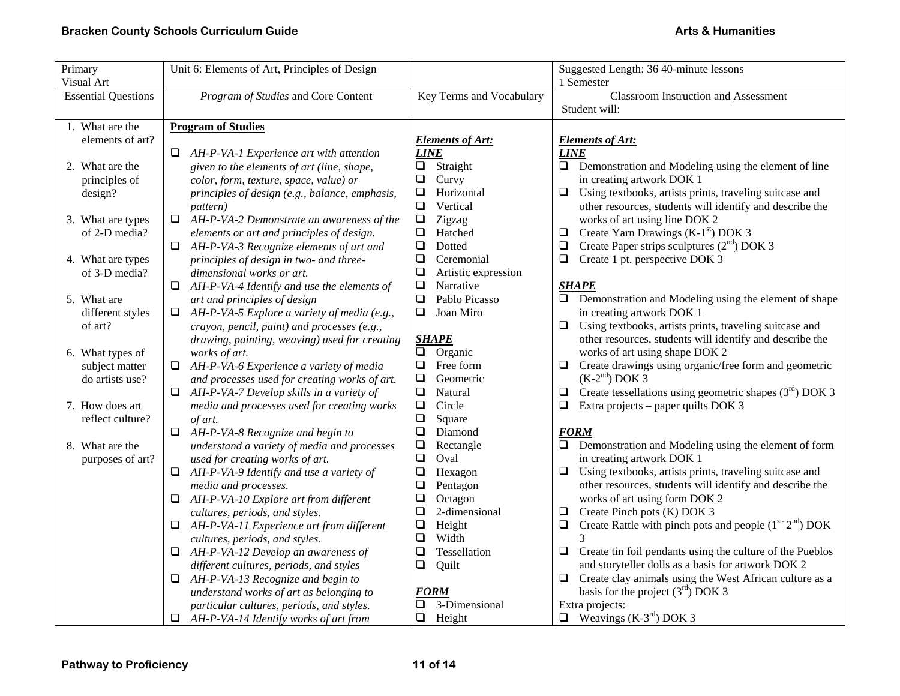| Primary                    | Unit 6: Elements of Art, Principles of Design         |                                    | Suggested Length: 36 40-minute lessons                                                                   |
|----------------------------|-------------------------------------------------------|------------------------------------|----------------------------------------------------------------------------------------------------------|
| Visual Art                 |                                                       |                                    | 1 Semester                                                                                               |
| <b>Essential Questions</b> | Program of Studies and Core Content                   | Key Terms and Vocabulary           | <b>Classroom Instruction and Assessment</b>                                                              |
|                            |                                                       |                                    | Student will:                                                                                            |
| 1. What are the            | <b>Program of Studies</b>                             |                                    |                                                                                                          |
| elements of art?           |                                                       | <b>Elements of Art:</b>            | <b>Elements of Art:</b>                                                                                  |
|                            | $\Box$ AH-P-VA-1 Experience art with attention        | <b>LINE</b>                        | <b>LINE</b>                                                                                              |
| 2. What are the            | given to the elements of art (line, shape,            | $\Box$ Straight                    | $\Box$ Demonstration and Modeling using the element of line                                              |
| principles of              | color, form, texture, space, value) or                | $\Box$<br>Curvy                    | in creating artwork DOK 1                                                                                |
| design?                    | principles of design (e.g., balance, emphasis,        | $\Box$<br>Horizontal               | $\Box$<br>Using textbooks, artists prints, traveling suitcase and                                        |
|                            | <i>pattern</i> )                                      | $\Box$<br>Vertical                 | other resources, students will identify and describe the                                                 |
| 3. What are types          | AH-P-VA-2 Demonstrate an awareness of the<br>$\Box$   | $\Box$<br>Zigzag                   | works of art using line DOK 2                                                                            |
| of 2-D media?              | elements or art and principles of design.             | $\Box$<br>Hatched                  | Create Yarn Drawings $(K-1st)$ DOK 3<br>❏                                                                |
|                            | $\Box$ AH-P-VA-3 Recognize elements of art and        | $\Box$<br><b>Dotted</b>            | Create Paper strips sculptures $(2nd)$ DOK 3<br>$\Box$                                                   |
| 4. What are types          | principles of design in two- and three-               | $\Box$<br>Ceremonial               | Create 1 pt. perspective DOK 3<br>$\Box$                                                                 |
| of 3-D media?              | dimensional works or art.                             | $\Box$<br>Artistic expression      |                                                                                                          |
|                            | $\Box$ AH-P-VA-4 Identify and use the elements of     | $\Box$<br>Narrative                | <b>SHAPE</b>                                                                                             |
| 5. What are                | art and principles of design                          | $\Box$<br>Pablo Picasso            | $\Box$ Demonstration and Modeling using the element of shape                                             |
| different styles           | AH-P-VA-5 Explore a variety of media (e.g.,<br>$\Box$ | $\Box$<br>Joan Miro                | in creating artwork DOK 1                                                                                |
| of art?                    | crayon, pencil, paint) and processes (e.g.,           |                                    | $\Box$<br>Using textbooks, artists prints, traveling suitcase and                                        |
|                            | drawing, painting, weaving) used for creating         | <b>SHAPE</b>                       | other resources, students will identify and describe the                                                 |
| 6. What types of           | works of art.                                         | $\Box$<br>Organic                  | works of art using shape DOK 2                                                                           |
| subject matter             | AH-P-VA-6 Experience a variety of media<br>□          | $\Box$<br>Free form                | Create drawings using organic/free form and geometric<br>$\Box$                                          |
| do artists use?            | and processes used for creating works of art.         | $\Box$<br>Geometric                | $(K-2nd)$ DOK 3                                                                                          |
|                            | AH-P-VA-7 Develop skills in a variety of<br>$\Box$    | $\Box$<br>Natural                  | Create tessellations using geometric shapes $(3rd)$ DOK 3<br>❏                                           |
| 7. How does art            | media and processes used for creating works           | $\Box$<br>Circle                   | $\Box$<br>Extra projects – paper quilts DOK 3                                                            |
| reflect culture?           | of art.                                               | $\Box$<br>Square                   |                                                                                                          |
|                            | $\Box$ AH-P-VA-8 Recognize and begin to               | $\Box$<br>Diamond                  | <b>FORM</b>                                                                                              |
| 8. What are the            | understand a variety of media and processes           | $\Box$<br>Rectangle                | $\Box$ Demonstration and Modeling using the element of form                                              |
| purposes of art?           | used for creating works of art.                       | $\Box$<br>Oval                     | in creating artwork DOK 1                                                                                |
|                            | AH-P-VA-9 Identify and use a variety of<br>⊔          | $\Box$<br>Hexagon                  | Using textbooks, artists prints, traveling suitcase and<br>$\Box$                                        |
|                            | media and processes.                                  | $\Box$<br>Pentagon                 | other resources, students will identify and describe the                                                 |
|                            | AH-P-VA-10 Explore art from different<br>$\Box$       | $\Box$<br>Octagon                  | works of art using form DOK 2                                                                            |
|                            | cultures, periods, and styles.                        | $\Box$<br>2-dimensional            | Create Pinch pots (K) DOK 3<br>$\Box$                                                                    |
|                            | AH-P-VA-11 Experience art from different<br>$\Box$    | $\Box$<br>Height                   | Create Rattle with pinch pots and people $(1st-2nd)$ DOK<br>$\Box$                                       |
|                            | cultures, periods, and styles.                        | $\Box$<br>Width                    |                                                                                                          |
|                            | AH-P-VA-12 Develop an awareness of<br>⊔               | $\Box$<br>Tessellation             | $\Box$<br>Create tin foil pendants using the culture of the Pueblos                                      |
|                            | different cultures, periods, and styles               | $\Box$<br>Quilt                    | and storyteller dolls as a basis for artwork DOK 2                                                       |
|                            | AH-P-VA-13 Recognize and begin to<br>⊔                |                                    | Create clay animals using the West African culture as a<br>$\Box$<br>basis for the project $(3rd)$ DOK 3 |
|                            | understand works of art as belonging to               | <b>FORM</b><br>3-Dimensional<br>Q. | Extra projects:                                                                                          |
|                            | particular cultures, periods, and styles.             | $\Box$ Height                      | $\Box$ Weavings (K-3 <sup>rd</sup> ) DOK 3                                                               |
|                            | $\Box$ AH-P-VA-14 Identify works of art from          |                                    |                                                                                                          |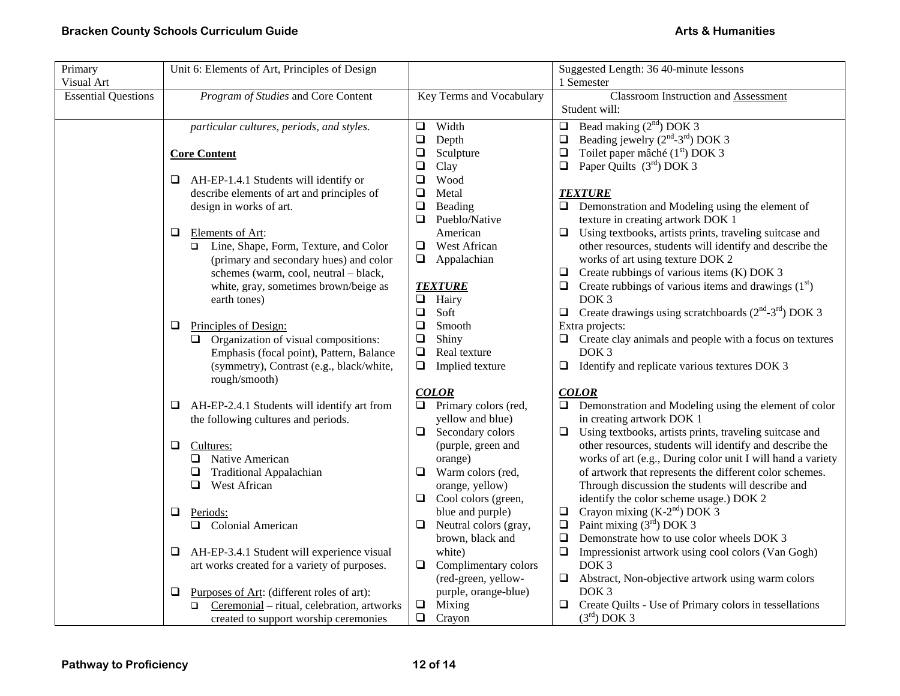| Primary                    | Unit 6: Elements of Art, Principles of Design                 |                                     | Suggested Length: 36 40-minute lessons                                                                       |
|----------------------------|---------------------------------------------------------------|-------------------------------------|--------------------------------------------------------------------------------------------------------------|
| Visual Art                 |                                                               |                                     | 1 Semester                                                                                                   |
| <b>Essential Questions</b> | Program of Studies and Core Content                           | Key Terms and Vocabulary            | <b>Classroom Instruction and Assessment</b>                                                                  |
|                            |                                                               |                                     | Student will:                                                                                                |
|                            | particular cultures, periods, and styles.                     | Width<br>$\Box$                     | Bead making $(2nd)$ DOK 3<br>$\Box$                                                                          |
|                            |                                                               | $\Box$<br>Depth                     | Beading jewelry (2 <sup>nd</sup> -3 <sup>rd</sup> ) DOK 3<br>$\Box$                                          |
|                            | <b>Core Content</b>                                           | $\Box$<br>Sculpture                 | Toilet paper mâché (1 <sup>st</sup> ) DOK 3<br>$\Box$                                                        |
|                            |                                                               | $\Box$<br>Clay                      | Paper Quilts $(3rd)$ DOK 3<br>$\Box$                                                                         |
|                            | AH-EP-1.4.1 Students will identify or<br>Q.                   | $\Box$<br>Wood                      |                                                                                                              |
|                            | describe elements of art and principles of                    | $\Box$<br>Metal                     | <b>TEXTURE</b>                                                                                               |
|                            | design in works of art.                                       | $\Box$<br>Beading                   | $\Box$ Demonstration and Modeling using the element of                                                       |
|                            |                                                               | Pueblo/Native<br>❏                  | texture in creating artwork DOK 1                                                                            |
|                            | Elements of Art:<br>⊔                                         | American                            | Using textbooks, artists prints, traveling suitcase and<br>⊔                                                 |
|                            | Line, Shape, Form, Texture, and Color<br>□                    | $\Box$ West African                 | other resources, students will identify and describe the                                                     |
|                            | (primary and secondary hues) and color                        | $\Box$<br>Appalachian               | works of art using texture DOK 2                                                                             |
|                            | schemes (warm, cool, neutral - black,                         |                                     | Create rubbings of various items (K) DOK 3<br>⊔                                                              |
|                            | white, gray, sometimes brown/beige as                         | <b>TEXTURE</b>                      | $\Box$ Create rubbings of various items and drawings (1 <sup>st</sup> )                                      |
|                            | earth tones)                                                  | $\Box$<br>Hairy                     | DOK <sub>3</sub>                                                                                             |
|                            |                                                               | $\Box$<br>Soft                      | $\Box$ Create drawings using scratchboards (2 <sup>nd</sup> -3 <sup>rd</sup> ) DOK 3                         |
|                            | Principles of Design:<br>❏                                    | ❏<br>Smooth                         | Extra projects:                                                                                              |
|                            | $\Box$ Organization of visual compositions:                   | Shiny<br>$\Box$                     | $\Box$ Create clay animals and people with a focus on textures                                               |
|                            | Emphasis (focal point), Pattern, Balance                      | $\Box$<br>Real texture              | DOK <sub>3</sub>                                                                                             |
|                            | (symmetry), Contrast (e.g., black/white,                      | ❏<br>Implied texture                | $\Box$ Identify and replicate various textures DOK 3                                                         |
|                            | rough/smooth)                                                 |                                     |                                                                                                              |
|                            |                                                               | <b>COLOR</b>                        | <b>COLOR</b>                                                                                                 |
|                            | AH-EP-2.4.1 Students will identify art from<br>⊔              | Primary colors (red,<br>❏           | Demonstration and Modeling using the element of color<br>❏                                                   |
|                            | the following cultures and periods.                           | yellow and blue)                    | in creating artwork DOK 1                                                                                    |
|                            |                                                               | Secondary colors<br>❏               | Using textbooks, artists prints, traveling suitcase and<br>$\Box$                                            |
|                            | $\Box$<br>Cultures:                                           | (purple, green and                  | other resources, students will identify and describe the                                                     |
|                            | Native American<br>0.                                         | orange)<br>$\Box$ Warm colors (red, | works of art (e.g., During color unit I will hand a variety                                                  |
|                            | <b>Traditional Appalachian</b><br>□<br>West African<br>$\Box$ | orange, yellow)                     | of artwork that represents the different color schemes.<br>Through discussion the students will describe and |
|                            |                                                               | Cool colors (green,<br>$\Box$       | identify the color scheme usage.) DOK 2                                                                      |
|                            | Q<br>Periods:                                                 | blue and purple)                    | Crayon mixing $(K-2nd)$ DOK 3<br>$\Box$                                                                      |
|                            | □ Colonial American                                           | Neutral colors (gray,<br>u          | Paint mixing $(3rd)$ DOK 3<br>$\Box$                                                                         |
|                            |                                                               | brown, black and                    | Demonstrate how to use color wheels DOK 3                                                                    |
|                            | AH-EP-3.4.1 Student will experience visual<br>⊔               | white)                              | Impressionist artwork using cool colors (Van Gogh)<br>$\Box$                                                 |
|                            | art works created for a variety of purposes.                  | Complimentary colors<br>$\Box$      | DOK <sub>3</sub>                                                                                             |
|                            |                                                               | (red-green, yellow-                 | Abstract, Non-objective artwork using warm colors<br>$\Box$                                                  |
|                            | Purposes of Art: (different roles of art):<br>❏               | purple, orange-blue)                | DOK <sub>3</sub>                                                                                             |
|                            | Ceremonial - ritual, celebration, artworks<br>$\Box$          | Mixing<br>$\Box$                    | Create Quilts - Use of Primary colors in tessellations<br>⊔                                                  |
|                            | created to support worship ceremonies                         | $\Box$<br>Crayon                    | $(3rd)$ DOK 3                                                                                                |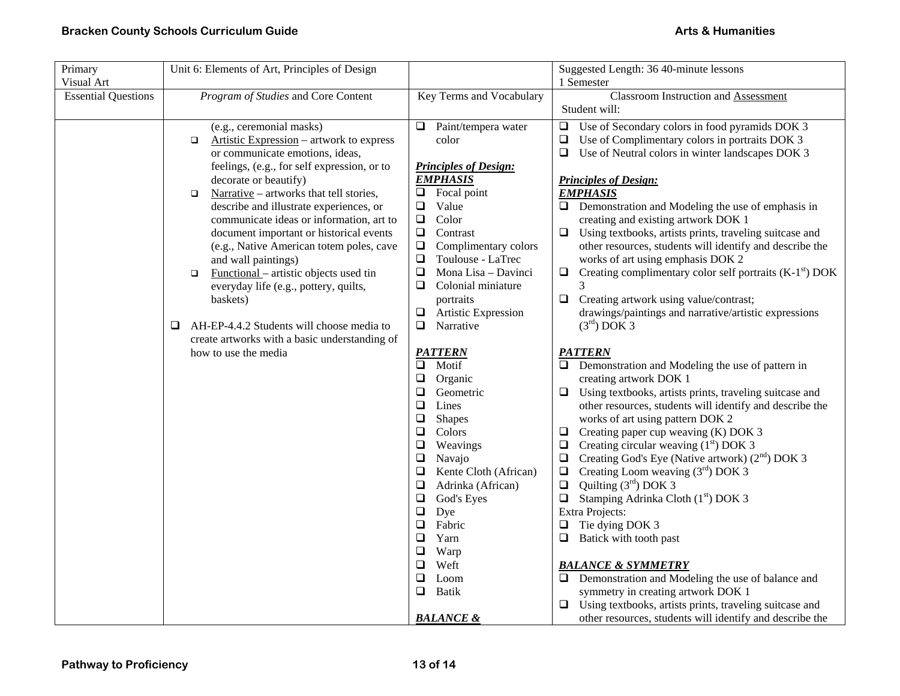| Primary                    | Unit 6: Elements of Art, Principles of Design      |                                   | Suggested Length: 36 40-minute lessons                                                    |
|----------------------------|----------------------------------------------------|-----------------------------------|-------------------------------------------------------------------------------------------|
| Visual Art                 |                                                    |                                   | 1 Semester                                                                                |
| <b>Essential Questions</b> | Program of Studies and Core Content                | Key Terms and Vocabulary          | <b>Classroom Instruction and Assessment</b>                                               |
|                            |                                                    |                                   | Student will:                                                                             |
|                            | (e.g., ceremonial masks)                           | Paint/tempera water<br>❏          | Use of Secondary colors in food pyramids DOK 3<br>□                                       |
|                            | Artistic Expression – artwork to express<br>$\Box$ | color                             | Use of Complimentary colors in portraits DOK 3<br>❏                                       |
|                            | or communicate emotions, ideas,                    |                                   | Use of Neutral colors in winter landscapes DOK 3<br>❏                                     |
|                            | feelings, (e.g., for self expression, or to        | <b>Principles of Design:</b>      |                                                                                           |
|                            | decorate or beautify)                              | <b>EMPHASIS</b>                   | <b>Principles of Design:</b>                                                              |
|                            | Narrative – artworks that tell stories,<br>$\Box$  | Focal point<br>Q.                 | <b>EMPHASIS</b>                                                                           |
|                            | describe and illustrate experiences, or            | Value<br>$\Box$                   | $\Box$ Demonstration and Modeling the use of emphasis in                                  |
|                            | communicate ideas or information, art to           | $\Box$<br>Color                   | creating and existing artwork DOK 1                                                       |
|                            | document important or historical events            | $\Box$<br>Contrast                | $\Box$ Using textbooks, artists prints, traveling suitcase and                            |
|                            | (e.g., Native American totem poles, cave           | $\Box$<br>Complimentary colors    | other resources, students will identify and describe the                                  |
|                            | and wall paintings)                                | Toulouse - LaTrec<br>$\Box$       | works of art using emphasis DOK 2                                                         |
|                            | Functional - artistic objects used tin<br>$\Box$   | $\Box$<br>Mona Lisa - Davinci     | $\Box$ Creating complimentary color self portraits (K-1 <sup>st</sup> ) DOK               |
|                            | everyday life (e.g., pottery, quilts,              | $\Box$<br>Colonial miniature      |                                                                                           |
|                            | baskets)                                           | portraits                         | $\Box$<br>Creating artwork using value/contrast;                                          |
|                            |                                                    | $\Box$<br>Artistic Expression     | drawings/paintings and narrative/artistic expressions                                     |
|                            | AH-EP-4.4.2 Students will choose media to<br>⊔     | Narrative<br>Q.                   | $(3^{\text{rd}})$ DOK 3                                                                   |
|                            | create artworks with a basic understanding of      |                                   |                                                                                           |
|                            | how to use the media                               | <b>PATTERN</b>                    | <b>PATTERN</b>                                                                            |
|                            |                                                    | $\Box$<br>Motif                   | $\Box$ Demonstration and Modeling the use of pattern in                                   |
|                            |                                                    | $\Box$<br>Organic<br>$\Box$       | creating artwork DOK 1                                                                    |
|                            |                                                    | Geometric<br>$\Box$<br>Lines      | $\Box$ Using textbooks, artists prints, traveling suitcase and                            |
|                            |                                                    | $\Box$                            | other resources, students will identify and describe the                                  |
|                            |                                                    | <b>Shapes</b><br>$\Box$<br>Colors | works of art using pattern DOK 2<br>$\Box$                                                |
|                            |                                                    | $\Box$<br>Weavings                | Creating paper cup weaving (K) DOK 3<br>Creating circular weaving $(1st)$ DOK 3<br>$\Box$ |
|                            |                                                    | $\Box$<br>Navajo                  | Creating God's Eye (Native artwork) $(2nd)$ DOK 3<br>$\Box$                               |
|                            |                                                    | $\Box$<br>Kente Cloth (African)   | Creating Loom weaving $(3rd)$ DOK 3<br>$\Box$                                             |
|                            |                                                    | $\Box$<br>Adrinka (African)       | Quilting $(3rd)$ DOK 3<br>$\Box$                                                          |
|                            |                                                    | $\Box$<br>God's Eyes              | $\Box$<br>Stamping Adrinka Cloth (1 <sup>st</sup> ) DOK 3                                 |
|                            |                                                    | $\Box$<br>Dye                     | <b>Extra Projects:</b>                                                                    |
|                            |                                                    | $\Box$<br>Fabric                  | $\Box$<br>Tie dying DOK 3                                                                 |
|                            |                                                    | Yarn<br>$\Box$                    | Batick with tooth past<br>❏                                                               |
|                            |                                                    | $\Box$<br>Warp                    |                                                                                           |
|                            |                                                    | Weft<br>$\Box$                    | <b>BALANCE &amp; SYMMETRY</b>                                                             |
|                            |                                                    | $\Box$<br>Loom                    | $\Box$ Demonstration and Modeling the use of balance and                                  |
|                            |                                                    | <b>Batik</b><br>❏                 | symmetry in creating artwork DOK 1                                                        |
|                            |                                                    |                                   | $\Box$ Using textbooks, artists prints, traveling suitcase and                            |
|                            |                                                    | <b>BALANCE &amp;</b>              | other resources, students will identify and describe the                                  |